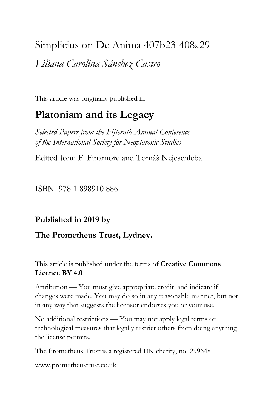# Simplicius on De Anima 407b23-408a29 *Liliana Carolina Sánchez Castro*

This article was originally published in

## **Platonism and its Legacy**

*Selected Papers from the Fifteenth Annual Conference of the International Society for Neoplatonic Studies*

Edited John F. Finamore and Tomáš Nejeschleba

ISBN 978 1 898910 886

## **Published in 2019 by**

## **The Prometheus Trust, Lydney.**

This article is published under the terms of **Creative Commons Licence BY 4.0**

Attribution — You must give appropriate credit, and indicate if changes were made. You may do so in any reasonable manner, but not in any way that suggests the licensor endorses you or your use.

No additional restrictions — You may not apply legal terms or technological measures that legally restrict others from doing anything the license permits.

The Prometheus Trust is a registered UK charity, no. 299648

[www.prometheustrust.co.uk](http://www.prometheustrust.co.uk/)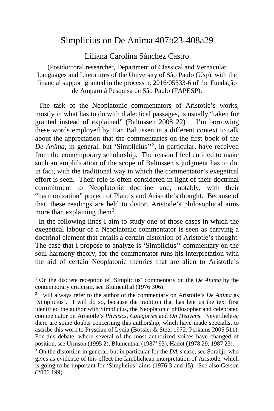### Simplicius on De Anima 407b23-408a29

Liliana Carolina Sánchez Castro

(Postdoctoral researcher, Department of Classical and Vernacular Languages and Literatures of the University of São Paulo (Usp), with the financial support granted in the process n. 2016/05333-6 of the Fundaçâo de Amparo à Pesquisa de Sâo Paulo (FAPESP).

 The task of the Neoplatonic commentators of Aristotle's works, mostly in what has to do with dialectical passages, is usually "taken for granted instead of explained" (Baltussen 2008  $22$ )<sup>[1](#page-1-0)</sup>. I'm borrowing these words employed by Han Baltussen in a different context to talk about the appreciation that the commentaries on the first book of the De Anima, in general, but 'Simplicius'<sup>[2](#page-1-1)</sup>, in particular, have received from the contemporary scholarship. The reason I feel entitled to make such an amplification of the scope of Baltussen's judgment has to do, in fact, with the traditional way in which the commentator's exegetical effort is seen. Their role is often considered in light of their doctrinal commitment to Neoplatonic doctrine and, notably, with their "harmonization" project of Plato's and Aristotle's thought. Because of that, these readings are held to distort Aristotle's philosophical aims more than explaining them<sup>[3](#page-1-2)</sup>.

 In the following lines I aim to study one of those cases in which the exegetical labour of a Neoplatonic commentator is seen as carrying a doctrinal element that entails a certain distortion of Aristotle's thought. The case that I propose to analyze is 'Simplicius'' commentary on the soul-harmony theory, for the commentator runs his interpretation with the aid of certain Neoplatonic theories that are alien to Aristotle's

<span id="page-1-0"></span><sup>1</sup> On the discrete reception of 'Simplicius' commentary on the *De Anima* by the contemporary criticism, see Blumenthal (1976 306).

<span id="page-1-1"></span><sup>2</sup> I will always refer to the author of the commentary on Aristotle's *De Anima* as 'Simplicius'. I will do so, because the tradition that has lent us the text first identified the author with Simplicius, the Neoplatonic philosopher and celebrated commentator on Aristotle's *Physiscs*, *Categories* and *On Heavens*. Nevertheless, there are some doubts concerning this authorship, which have made specialist to ascribe this work to Pryscian of Lydia (Bossier & Steel 1972; Perkams 2005 511). For this debate, where several of the most authorized voices have changed of position, see Urmson (1995 2), Blumenthal (1987a 93), Hadot (1978 29; 1987 23).

<span id="page-1-2"></span><sup>3</sup> On the distortion in general, but in particular for the *DA's* case, see Sorabji, who gives as evidence of this effect the Iamblichean interpretation of Aristotle, which is going to be important for 'Simplicius' aims (1976 3 and 15). See also Gerson (2006 199).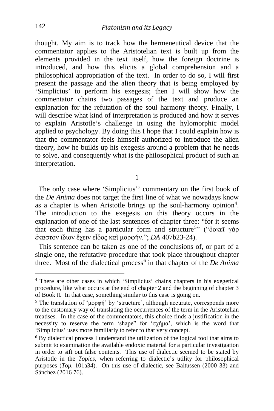thought. My aim is to track how the hermeneutical device that the commentator applies to the Aristotelian text is built up from the elements provided in the text itself, how the foreign doctrine is introduced, and how this elicits a global comprehension and a philosophical appropriation of the text. In order to do so, I will first present the passage and the alien theory that is being employed by 'Simplicius' to perform his exegesis; then I will show how the commentator chains two passages of the text and produce an explanation for the refutation of the soul harmony theory. Finally, I will describe what kind of interpretation is produced and how it serves to explain Aristotle's challenge in using the hylomorphic model applied to psychology. By doing this I hope that I could explain how is that the commentator feels himself authorized to introduce the alien theory, how he builds up his exegesis around a problem that he needs to solve, and consequently what is the philosophical product of such an interpretation.

1

 The only case where 'Simplicius'' commentary on the first book of the *De Anima* does not target the first line of what we nowadays know as a chapter is when Aristotle brings up the soul-harmony opinion<sup>[4](#page-2-0)</sup>. The introduction to the exegesis on this theory occurs in the explanation of one of the last sentences of chapter three: "for it seems that each thing has a particular form and structure<sup>[5](#page-2-1)</sup>" ("δοκεῖ γὰρ ἕκαστον ἴδιον ἔχειν εἶδος καὶ μορφήν."; *DA* 407b23-24).

 This sentence can be taken as one of the conclusions of, or part of a single one, the refutative procedure that took place throughout chapter three. Most of the dialectical process<sup>[6](#page-2-2)</sup> in that chapter of the *De Anima* 

<span id="page-2-0"></span><sup>4</sup> There are other cases in which 'Simplicius' chains chapters in his exegetical procedure, like what occurs at the end of chapter 2 and the beginning of chapter 3 of Book II. In that case, something similar to this case is going on.

<span id="page-2-1"></span><sup>5</sup> The translation of 'μορφή' by 'structure', although accurate, corresponds more to the customary way of translating the occurrences of the term in the Aristotelian treatises. In the case of the commentators, this choice finds a justification in the necessity to reserve the term 'shape" for 'σχήμα', which is the word that 'Simplicius' uses more familiarly to refer to that very concept.

<span id="page-2-2"></span><sup>6</sup> By dialectical process I understand the utilization of the logical tool that aims to submit to examination the available endoxic material for a particular investigation in order to sift out false contents. This use of dialectic seemed to be stated by Aristotle in the *Topics*, when referring to dialectic's utility for philosophical purposes (*Top.* 101a34). On this use of dialectic, see Baltussen (2000 33) and Sánchez (2016 76).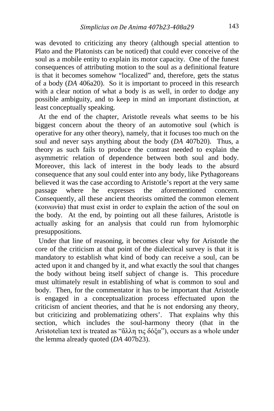was devoted to criticizing any theory (although special attention to Plato and the Platonists can be noticed) that could ever conceive of the soul as a mobile entity to explain its motor capacity. One of the funest consequences of attributing motion to the soul as a definitional feature is that it becomes somehow "localized" and, therefore, gets the status of a body (*DA* 406a20). So it is important to proceed in this research with a clear notion of what a body is as well, in order to dodge any possible ambiguity, and to keep in mind an important distinction, at least conceptually speaking.

 At the end of the chapter, Aristotle reveals what seems to be his biggest concern about the theory of an automotive soul (which is operative for any other theory), namely, that it focuses too much on the soul and never says anything about the body (*DA* 407b20). Thus, a theory as such fails to produce the contrast needed to explain the asymmetric relation of dependence between both soul and body. Moreover, this lack of interest in the body leads to the absurd consequence that any soul could enter into any body, like Pythagoreans believed it was the case according to Aristotle's report at the very same passage where he expresses the aforementioned concern. Consequently, all these ancient theorists omitted the common element (κοινωνία) that must exist in order to explain the action of the soul on the body. At the end, by pointing out all these failures, Aristotle is actually asking for an analysis that could run from hylomorphic presuppositions.

 Under that line of reasoning, it becomes clear why for Aristotle the core of the criticism at that point of the dialectical survey is that it is mandatory to establish what kind of body can receive a soul, can be acted upon it and changed by it, and what exactly the soul that changes the body without being itself subject of change is. This procedure must ultimately result in establishing of what is common to soul and body. Then, for the commentator it has to be important that Aristotle is engaged in a conceptualization process effectuated upon the criticism of ancient theories, and that he is not endorsing any theory, but criticizing and problematizing others'. That explains why this section, which includes the soul-harmony theory (that in the Aristotelian text is treated as "ἄλλη τις δόξα"), occurs as a whole under the lemma already quoted (*DA* 407b23).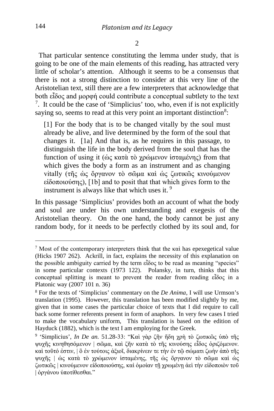That particular sentence constituting the lemma under study, that is going to be one of the main elements of this reading, has attracted very little of scholar's attention. Although it seems to be a consensus that there is not a strong distinction to consider at this very line of the Aristotelian text, still there are a few interpreters that acknowledge that both εἶδος and μορφή could contribute a conceptual subtlety to the text <sup>[7](#page-4-0)</sup>. It could be the case of 'Simplicius' too, who, even if is not explicitly saying so, seems to read at this very point an important distinction<sup>[8](#page-4-1)</sup>:

[1] For the body that is to be changed vitally by the soul must already be alive, and live determined by the form of the soul that changes it. [1a] And that is, as he requires in this passage, to distinguish the life in the body derived from the soul that has the function of using it (ὡς κατὰ τὸ χρώμενον ἱσταμένης) from that which gives the body a form as an instrument and as changing vitally (τῆς ὡς ὄργανον τὸ σῶμα καὶ ὡς ζωτικῶς κινούμενον εἰδοποιούσης), [1b] and to posit that that which gives form to the instrument is always like that which uses it. [9](#page-4-2)

In this passage 'Simplicius' provides both an account of what the body and soul are under his own understanding and exegesis of the Aristotelian theory. On the one hand, the body cannot be just any random body, for it needs to be perfectly clothed by its soul and, for

<span id="page-4-0"></span><sup>7</sup> Most of the contemporary interpreters think that the καὶ has epexegetical value (Hicks 1907 262). Ackrill, in fact, explains the necessity of this explanation on the possible ambiguity carried by the term εἶδος to be read as meaning "species" in some particular contexts (1973 122). Polansky, in turn, thinks that this conceptual splitting is meant to prevent the reader from reading εἶδος in a Platonic way (2007 101 n. 36)

<span id="page-4-1"></span><sup>8</sup> For the texts of 'Simplicius' commentary on the *De Anima*, I will use Urmson's translation (1995). However, this translation has been modified slightly by me, given that in some cases the particular choice of texts that I did require to call back some former referents present in form of anaphors. In very few cases I tried to make the vocabulary uniform, This translation is based on the edition of Hayduck (1882), which is the text I am employing for the Greek.

<span id="page-4-2"></span><sup>9</sup> 'Simplicius', *In De an.* 51.28-33: "Καὶ γὰρ ζῆν ἤδη χρὴ τὸ ζωτικῶς ὑπὸ τῆς ψυχῆς κινηθησόμενον | σῶμα, καὶ ζῆν κατὰ τὸ τῆς κινούσης εἶδος ὁριζόμενον. καὶ τοῦτό ἐστιν, | ὃ ἐν τούτοις ἀξιοῖ, διακρίνειν τε τὴν ἐν τῷ σώματι ζωὴν ἀπὸ τῆς ψυχῆς | ὡς κατὰ τὸ χρώμενον ἱσταμένης, τῆς ὡς ὄργανον τὸ σῶμα καὶ ὡς ζωτικῶς | κινούμενον εἰδοποιούσης, καὶ ὁμοίαν τῇ χρωμένῃ ἀεὶ τὴν εἰδοποιὸν τοῦ | ὀργάνου ὑποτίθεσθαι."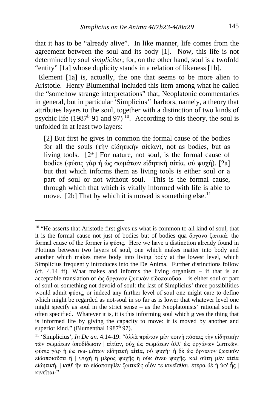that it has to be "already alive". In like manner, life comes from the agreement between the soul and its body [1]. Now, this life is not determined by soul *simpliciter*; for, on the other hand, soul is a twofold "entity" [1a] whose duplicity stands in a relation of likeness [1b].

 Element [1a] is, actually, the one that seems to be more alien to Aristotle. Henry Blumenthal included this item among what he called the "somehow strange interpretations" that, Neoplatonic commentaries in general, but in particular 'Simplicius'' harbors, namely, a theory that attributes layers to the soul, together with a distinction of two kinds of psychic life (1987<sup>b</sup> 91 and 97)<sup>10</sup>. According to this theory, the soul is unfolded in at least two layers:

[2] But first he gives in common the formal cause of the bodies for all the souls (τὴν εἰδητικὴν αἰτίαν), not as bodies, but as living tools. [2\*] For nature, not soul, is the formal cause of bodies (φύσις γὰρ ἡ ὡς σωμάτων εἰδητικὴ αἰτία, οὐ ψυχή), [2a] but that which informs them as living tools is either soul or a part of soul or not without soul. This is the formal cause, through which that which is vitally informed with life is able to move. [2b] That by which it is moved is something else.<sup>[11](#page-5-1)</sup>

<span id="page-5-0"></span><sup>&</sup>lt;sup>10</sup> "He asserts that Aristotle first gives us what is common to all kind of soul, that it is the formal cause not just of bodies but of bodies qua ὄργανα ζωτικά: the formal cause of the former is φύσις. Here we have a distinction already found in Plotinus between two layers of soul, one which makes matter into body and another which makes mere body into living body at the lowest level, which Simplicius frequently introduces into the De Anima. Further distinctions follow (cf. 4.14 ff). What makes and informs the living organism – if that is an acceptable translation of ώς ὄργανον ζωτικὸν εἰδοποιοῦσα – is either soul or part of soul or something not devoid of soul: the last of Simplicius' three possibilities would admit φύσις, or indeed any further level of soul one might care to define which might be regarded as not-soul in so far as is lower that whatever level one might specify as soul in the strict sense – as the Neoplatonists' rational soul is often specified. Whatever it is, it is this informing soul which gives the thing that is informed life by giving the capacity to move: it is moved by another and superior kind." (Blumenthal 1987<sup>b</sup> 97).

<span id="page-5-1"></span><sup>11</sup> 'Simplicius', *In De an.* 4.14-19: "ἀλλὰ πρῶτον μὲν κοινῇ πάσαις τὴν εἰδητικὴν τῶν σωμάτων ἀποδίδωσιν | αἰτίαν, οὐχ ὡς σωμάτων ἀλλ' ὡς ὀργάνων ζωτικῶν. φύσις γὰρ ἡ ὡς σω-|μάτων εἰδητικὴ αἰτία, οὐ ψυχή· ἡ δὲ ὡς ὄργανον ζωτικὸν εἰδοποιοῦσα ἢ | ψυχὴ ἢ μέρος ψυχῆς ἢ οὐκ ἄνευ ψυχῆς. καὶ αὕτη μὲν αἰτία εἰδητική, | καθ' ἣν τὸ εἰδοποιηθὲν ζωτικῶς οἷόν τε κινεῖσθαι. ἑτέρα δὲ ἡ ὑφ' ἧς | κινεῖται·"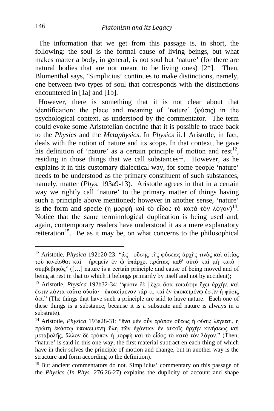The information that we get from this passage is, in short, the following: the soul is the formal cause of living beings, but what makes matter a body, in general, is not soul but 'nature' (for there are natural bodies that are not meant to be living ones)  $[2^*]$ . Then, Blumenthal says, 'Simplicius' continues to make distinctions, namely, one between two types of soul that corresponds with the distinctions encountered in [1a] and [1b].

 However, there is something that it is not clear about that identification: the place and meaning of 'nature' (φύσις) in the psychological context, as understood by the commentator. The term could evoke some Aristotelian doctrine that it is possible to trace back to the *Physics* and the *Metaphysics*. In *Physics* ii.1 Aristotle, in fact, deals with the notion of nature and its scope. In that context, he gave his definition of 'nature' as a certain principle of motion and  $rest<sup>12</sup>$ , residing in those things that we call substances<sup>[13](#page-6-1)</sup>. However, as he explains it in this customary dialectical way, for some people 'nature' needs to be understood as the primary constituent of such substances, namely, matter (*Phys.* 193a9-13). Aristotle agrees in that in a certain way we rightly call 'nature' to the primary matter of things having such a principle above mentioned; however in another sense, 'nature' is the form and specie (ή μορφή καὶ τὸ εἶδος τὸ κατὰ τὸν λόγον)<sup>14</sup>. Notice that the same terminological duplication is being used and, again, contemporary readers have understood it as a mere explanatory reiteration<sup>[15](#page-6-3)</sup>. Be as it may be, on what concerns to the philosophical

<span id="page-6-0"></span><sup>12</sup> Aristotle, *Physica* 192b20-23: "ὡς | οὔσης τῆς φύσεως ἀρχῆς τινὸς καὶ αἰτίας τοῦ κινεῖσθαι καὶ | ἠρεμεῖν ἐν ᾧ ὑπάρχει πρώτως καθ' αὑτὸ καὶ μὴ κατὰ | συμβεβηκός" ([…] nature is a certain principle and cause of being moved and of being at rest in that to which it belongs primarily by itself and not by accident);

<span id="page-6-1"></span><sup>13</sup> Aristotle, *Physica* 192b32-34: "φύσιν δὲ | ἔχει ὅσα τοιαύτην ἔχει ἀρχήν. καὶ ἔστιν πάντα ταῦτα οὐσία· | ὑποκείμενον γάρ τι, καὶ ἐν ὑποκειμένῳ ἐστὶν ἡ φύσις ἀεί." (The things that have such a principle are said to have nature. Each one of these things is a substance, because it is a substrate and nature is always in a substrate).

<span id="page-6-2"></span><sup>14</sup> Aristotle, *Physica* 193a28-31: "ἕνα μὲν οὖν τρόπον οὕτως ἡ φύσις λέγεται, ἡ πρώτη ἑκάστῳ ὑποκειμένη ὕλη τῶν ἐχόντων ἐν αὑτοῖς ἀρχὴν κινήσεως καὶ μεταβολῆς, ἄλλον δὲ τρόπον ἡ μορφὴ καὶ τὸ εἶδος τὸ κατὰ τὸν λόγον." (Then, "nature' is said in this one way, the first material subtract en each thing of which have in their selves the principle of motion and change, but in another way is the structure and form according to the definition).

<span id="page-6-3"></span><sup>15</sup> But ancient commentators do not. Simplicius' commentary on this passage of the *Physics* (*In Phys.* 276.26-27) explains the duplicity of account and shape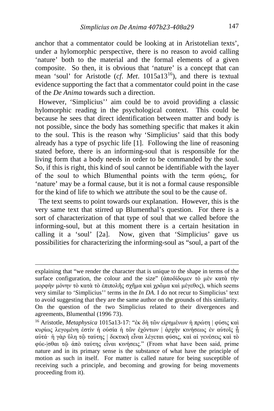anchor that a commentator could be looking at in Aristotelian texts', under a hylomorphic perspective, there is no reason to avoid calling 'nature' both to the material and the formal elements of a given composite. So then, it is obvious that 'nature' is a concept that can mean 'soul' for Aristotle (*cf. Met.* 1015a13<sup>[16](#page-7-0)</sup>), and there is textual evidence supporting the fact that a commentator could point in the case of the *De Anima* towards such a direction.

 However, 'Simplicius'' aim could be to avoid providing a classic hylomorphic reading in the psychological context. This could be because he sees that direct identification between matter and body is not possible, since the body has something specific that makes it akin to the soul. This is the reason why 'Simplicius' said that this body already has a type of psychic life [1]. Following the line of reasoning stated before, there is an informing-soul that is responsible for the living form that a body needs in order to be commanded by the soul. So, if this is right, this kind of soul cannot be identifiable with the layer of the soul to which Blumenthal points with the term φύσις, for 'nature' may be a formal cause, but it is not a formal cause responsible for the kind of life to which we attribute the soul to be the cause of.

 The text seems to point towards our explanation. However, this is the very same text that stirred up Blumenthal's question. For there is a sort of characterization of that type of soul that we called before the informing-soul, but at this moment there is a certain hesitation in calling it a 'soul' [2a]. Now, given that 'Simplicius' gave us possibilities for characterizing the informing-soul as "soul, a part of the

explaining that "we render the character that is unique to the shape in terms of the surface configuration, the colour and the size" (ἀποδίδομεν τὸ μὲν κατὰ τὴν μορφὴν μόνην τὸ κατὰ τὸ ἐπιπολῆς σχῆμα καὶ χρῶμα καὶ μέγεθος), which seems very similar to 'Simplicius'' terms in the *In DA*. I do not recur to Simplicius' text to avoid suggesting that they are the same author on the grounds of this similarity. On the question of the two Simplicius related to their divergences and agreements, Blumenthal (1996 73).

<span id="page-7-0"></span><sup>16</sup> Aristotle, *Metaphysica* 1015a13-17: "ἐκ δὴ τῶν εἰρημένων ἡ πρώτη | φύσις καὶ κυρίως λεγομένη ἐστὶν ἡ οὐσία ἡ τῶν ἐχόντων | ἀρχὴν κινήσεως ἐν αὑτοῖς ᾗ αὐτά· ἡ γὰρ ὕλη τῷ ταύτης | δεκτικὴ εἶναι λέγεται φύσις, καὶ αἱ γενέσεις καὶ τὸ φύε-|σθαι τῷ ἀπὸ ταύτης εἶναι κινήσεις." (From what have been said, prime nature and in its primary sense is the substance of what have the principle of motion as such in itself. For matter is called nature for being susceptible of receiving such a principle, and becoming and growing for being movements proceeding from it).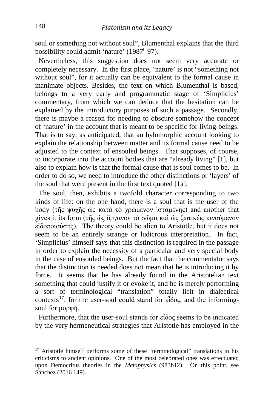soul or something not without soul", Blumenthal explains that the third possibility could admit 'nature' (1987<sup>b</sup> 97).

 Nevertheless, this suggestion does not seem very accurate or completely necessary. In the first place, 'nature' is not "something not without soul", for it actually can be equivalent to the formal cause in inanimate objects. Besides, the text on which Blumenthal is based, belongs to a very early and programmatic stage of 'Simplicius' commentary, from which we can deduce that the hesitation can be explained by the introductory purposes of such a passage. Secondly, there is maybe a reason for needing to obscure somehow the concept of 'nature' in the account that is meant to be specific for living-beings. That is to say, as anticipated, that an hylomorphic account looking to explain the relationship between matter and its formal cause need to be adjusted to the context of ensouled beings. That supposes, of course, to incorporate into the account bodies that are "already living" [1], but also to explain how is that the formal cause that is soul comes to be. In order to do so, we need to introduce the other distinctions or 'layers' of the soul that were present in the first text quoted [1a].

 The soul, then, exhibits a twofold character corresponding to two kinds of life: on the one hand, there is a soul that is the user of the body (τῆς ψυχῆς ὡς κατὰ τὸ χρώμενον ἱσταμένης) and another that gives it its form (τῆς ὡς ὄργανον τὸ σῶμα καὶ ὡς ζωτικῶς κινούμενον εἰδοποιούσης). The theory could be alien to Aristotle, but it does not seem to be an entirely strange or ludicrous interpretation. In fact, 'Simplicius' himself says that this distinction is required in the passage in order to explain the necessity of a particular and very special body in the case of ensouled beings. But the fact that the commentator says that the distinction is needed does not mean that he is introducing it by force. It seems that he has already found in the Aristotelian text something that could justify it or evoke it, and he is merely performing a sort of terminological "translation" totally licit in dialectical contexts[17](#page-8-0): for the user-soul could stand for εἶδος, and the informingsoul for μορφή.

 Furthermore, that the user-soul stands for εἶδος seems to be indicated by the very hermeneutical strategies that Aristotle has employed in the

<span id="page-8-0"></span><sup>&</sup>lt;sup>17</sup> Aristotle himself performs some of these "terminological" translations in his criticisms to ancient opinions. One of the most celebrated ones was effectuated upon Democritus theories in the *Metaphysics* (983b12). On this point, see Sánchez (2016 149).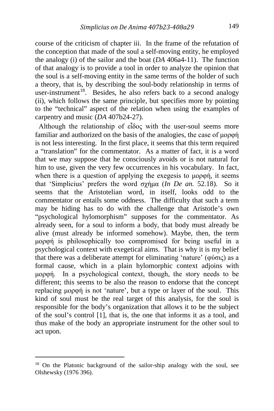course of the criticism of chapter iii. In the frame of the refutation of the conception that made of the soul a self-moving entity, he employed the analogy (i) of the sailor and the boat (*DA* 406a4-11). The function of that analogy is to provide a tool in order to analyze the opinion that the soul is a self-moving entity in the same terms of the holder of such a theory, that is, by describing the soul-body relationship in terms of user-instrument<sup>[18](#page-9-0)</sup>. Besides, he also refers back to a second analogy (ii), which follows the same principle, but specifies more by pointing to the "technical" aspect of the relation when using the examples of carpentry and music (*DA* 407b24-27).

 Although the relationship of εἶδος with the user-soul seems more familiar and authorized on the basis of the analogies, the case of μορφή is not less interesting. In the first place, it seems that this term required a "translation" for the commentator. As a matter of fact, it is a word that we may suppose that he consciously avoids or is not natural for him to use, given the very few occurrences in his vocabulary. In fact, when there is a question of applying the exegesis to μορφή, it seems that 'Simplicius' prefers the word σχήμα (*In De an.* 52.18). So it seems that the Aristotelian word, in itself, looks odd to the commentator or entails some oddness. The difficulty that such a term may be hiding has to do with the challenge that Aristotle's own "psychological hylomorphism" supposes for the commentator. As already seen, for a soul to inform a body, that body must already be alive (must already be informed somehow). Maybe, then, the term μορφή is philosophically too compromised for being useful in a psychological context with exegetical aims. That is why it is my belief that there was a deliberate attempt for eliminating 'nature' (φύσις) as a formal cause, which in a plain hylomorphic context adjoins with μορφή. In a psychological context, though, the story needs to be different; this seems to be also the reason to endorse that the concept replacing μορφή is not 'nature', but a type or layer of the soul. This kind of soul must be the real target of this analysis, for the soul is responsible for the body's organization that allows it to be the subject of the soul's control [1], that is, the one that informs it as a tool, and thus make of the body an appropriate instrument for the other soul to act upon.

i,

<span id="page-9-0"></span><sup>&</sup>lt;sup>18</sup> On the Platonic background of the sailor-ship analogy with the soul, see Olshewsky (1976 396).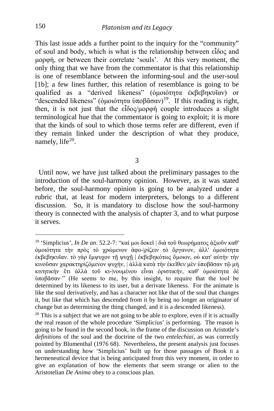This last issue adds a further point to the inquiry for the "community" of soul and body, which is what is the relationship between εἶδος and μορφή, or between their correlate 'souls'. At this very moment, the only thing that we have from the commentator is that this relationship is one of resemblance between the informing-soul and the user-soul [1b]; a few lines further, this relation of resemblance is going to be qualified as a "derived likeness" (ὁμοιότητα ἐκβεβηκυῖαν) or "descended likeness" (δικοιότητα ύποβᾶσαν)<sup>19</sup>. If this reading is right, then, it is not just that the εἶδος/μορφή couple introduces a slight terminological hue that the commentator is going to exploit; it is more that the kinds of soul to which those terms refer are different, even if they remain linked under the description of what they produce, namely, life $20$ .

3

 Until now, we have just talked about the preliminary passages to the introduction of the soul-harmony opinion. However, as it was stated before, the soul-harmony opinion is going to be analyzed under a rubric that, at least for modern interpreters, belongs to a different discussion. So, it is mandatory to disclose how the soul-harmony theory is connected with the analysis of chapter 3, and to what purpose it serves.

<span id="page-10-0"></span><sup>19</sup> 'Simplicius', *In De an*. 52.2-7: "καί μοι δοκεῖ | διὰ τοῦ θεωρήματος ἀξιοῦν καθ' ὁμοιότητα τὴν πρὸς τὸ χρώμενον ἀφο-|ρίζειν τὸ ὄργανον, ἀλλ' ὁμοιότητα ἐκβεβηκυῖαν. τὸ γὰρ ἔμψυχον τῇ ψυχῇ | ἐκβεβηκότως ὅμοιον, οὐ κατ' αὐτὴν τὴν κινοῦσαν χαρακτηριζόμενον ψυχήν, | ἀλλὰ κατὰ τὴν ἐκεῖθεν μὲν ὑποβᾶσαν τῷ μὴ κινητικὴν ἔτι ἀλλὰ τοῦ κι-|νουμένου εἶναι ὁριστικήν, καθ' ὁμοιότητα δὲ ὑποβᾶσαν·" (He seems to me, by this insight, to require that the tool be determined by its likeness to its user, but a derivate likeness. For the animate is like the soul derivatively, and has a character not like that of the soul that changes it, but like that which has descended from it by being no longer an originator of change but as determining the thing changed, and it is a descended likeness).

<span id="page-10-1"></span> $20$  This is a subject that we are not going to be able to explore, even if it is actually the real reason of the whole procedure 'Simplicius' is performing. The reason is going to be found in the second book, in the frame of the discussion on Aristotle's *definitions* of the soul and the doctrine of the two *entelechiai*, as was correctly pointed by Blumenthal (1976 68). Nevertheless, the present analysis just focuses on understanding how 'Simplicius' built up for those passages of Book II a hermeneutical device that is being anticipated from this very moment, in order to give an explanation of how the elements that seem strange or alien to the Aristotelian *De Anima* obey to a conscious plan.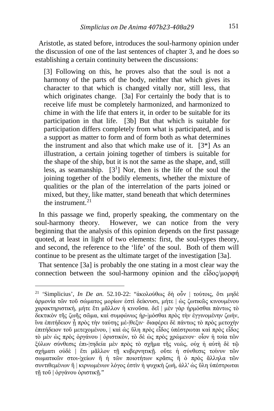Aristotle, as stated before, introduces the soul-harmony opinion under the discussion of one of the last sentences of chapter 3, and he does so establishing a certain continuity between the discussions:

[3] Following on this, he proves also that the soul is not a harmony of the parts of the body, neither that which gives its character to that which is changed vitally nor, still less, that which originates change. [3a] For certainly the body that is to receive life must be completely harmonized, and harmonized to chime in with the life that enters it, in order to be suitable for its participation in that life. [3b] But that which is suitable for participation differs completely from what is participated, and is a support as matter to form and of form both as what determines the instrument and also that which make use of it.  $[3^*]$  As an illustration, a certain joining together of timbers is suitable for the shape of the ship, but it is not the same as the shape, and, still less, as seamanship.  $[3^1]$  Nor, then is the life of the soul the joining together of the bodily elements, whether the mixture of qualities or the plan of the interrelation of the parts joined or mixed, but they, like matter, stand beneath that which determines the instrument. $^{21}$  $^{21}$  $^{21}$ 

 In this passage we find, properly speaking, the commentary on the soul-harmony theory. However, we can notice from the very beginning that the analysis of this opinion depends on the first passage quoted, at least in light of two elements: first, the soul-types theory, and second, the reference to the 'life' of the soul. Both of them will continue to be present as the ultimate target of the investigation [3a].

 That sentence [3a] is probably the one stating in a most clear way the connection between the soul-harmony opinion and the εἶδος/μορφή

<span id="page-11-0"></span><sup>21</sup> 'Simplicius', *In De an.* 52.10-22: "ἀκολούθως δὴ οὖν | τούτοις, ὅτι μηδὲ ἁρμονία τῶν τοῦ σώματος μορίων ἐστὶ δείκνυσι, μήτε | ὡς ζωτικῶς κινουμένου χαρακτηριστική, μήτε ἔτι μᾶλλον ἡ κινοῦσα. δεῖ | μὲν γὰρ ἡρμόσθαι πάντως τὸ δεκτικὸν τῆς ζωῆς σῶμα, καὶ συμφώνως ἡρ-|μόσθαι πρὸς τὴν ἐγγινομένην ζωήν, ἵνα ἐπιτήδειον ᾖ πρὸς τὴν ταύτης μέ-|θεξιν· διαφέρει δὲ πάντως τὸ πρὸς μετοχὴν ἐπιτήδειον τοῦ μετεχομένου, | καὶ ὡς ὕλη πρὸς εἶδος ὑπέστρωται καὶ πρὸς εἶδος τὸ μὲν ὡς πρὸς ὀργάνου | ὁριστικόν, τὸ δὲ ὡς πρὸς χρώμενον· οἷον ἡ τοία τῶν ξύλων σύνθεσις ἐπι-|τηδεία μὲν πρὸς τὸ σχῆμα τῆς νεώς, οὐχ ἡ αὐτὴ δὲ τῷ σχήματι οὐδὲ | ἔτι μᾶλλον τῇ κυβερνητικῇ. οὔτε ἡ σύνθεσις τοίνυν τῶν σωματικῶν στοι-|χείων ἢ ἡ τῶν ποιοτήτων κρᾶσις ἢ ὁ πρὸς ἄλληλα τῶν συντιθεμένων ἢ | κιρνωμένων λόγος ἐστὶν ἡ ψυχικὴ ζωή, ἀλλ' ὡς ὕλη ὑπέστρωται τῇ τοῦ | ὀργάνου ὁριστικῇ."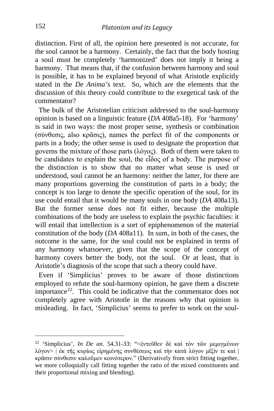distinction. First of all, the opinion here presented is not accurate, for the soul cannot be a harmony. Certainly, the fact that the body hosting a soul must be completely 'harmonized' does not imply it being a harmony. That means that, if the confusion between harmony and soul is possible, it has to be explained beyond of what Aristotle explicitly stated in the *De Anima's* text. So, which are the elements that the discussion of this theory could contribute to the exegetical task of the commentator?

 The bulk of the Aristotelian criticism addressed to the soul-harmony opinion is based on a linguistic feature (*DA* 408a5-18). For 'harmony' is said in two ways: the most proper sense, synthesis or combination (σύνθεσις, also κρᾶσις), names the perfect fit of the components or parts in a body; the other sense is used to designate the proportion that governs the mixture of those parts (λόγος). Both of them were taken to be candidates to explain the soul, the εἶδος of a body. The purpose of the distinction is to show that no matter what sense is used or understood, soul cannot be an harmony: neither the latter, for there are many proportions governing the constitution of parts in a body; the concept is too large to denote the specific operation of the soul, for its use could entail that it would be many souls in one body (*DA* 408a13). But the former sense does not fit either, because the multiple combinations of the body are useless to explain the psychic faculties: it will entail that intellection is a sort of epiphenomenon of the material constitution of the body (*DA* 408a11). In sum, in both of the cases, the outcome is the same, for the soul could not be explained in terms of any harmony whatsoever, given that the scope of the concept of harmony covers better the body, not the soul. Or at least, that is Aristotle's diagnosis of the scope that such a theory could have.

 Even if 'Simplicius' proves to be aware of those distinctions employed to refute the soul-harmony opinion, he gave them a discrete importance<sup>22</sup>. This could be indicative that the commentator does not completely agree with Aristotle in the reasons why that opinion is misleading. In fact, 'Simplicius' seems to prefer to work on the soul-

<span id="page-12-0"></span><sup>22</sup> 'Simplicius', *In De an.* 54.31-33: "<ἐντεῦθεν δὲ καὶ τὸν τῶν μεμιγμένων λόγον> | ἐκ τῆς κυρίως εἰρημένης συνθέσεως καὶ τὴν κατὰ λόγον μῖξίν τε καὶ | κρᾶσιν σύνθεσιν καλοῦμεν κοινότερον." (Derivatively from strict fitting together, we more colloquially call fitting together the ratio of the mixed constituents and their proportional mixing and blending).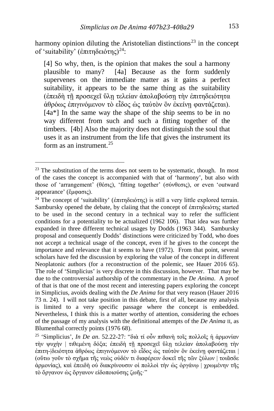harmony opinion diluting the Aristotelian distinctions<sup>[23](#page-13-0)</sup> in the concept of 'suitability' (ἐπιτηδειότης)[24](#page-13-1):

[4] So why, then, is the opinion that makes the soul a harmony plausible to many? [4a] Because as the form suddenly supervenes on the immediate matter as it gains a perfect suitability, it appears to be the same thing as the suitability (ἐπειδὴ τῇ προσεχεῖ ὕλῃ τελείαν ἀπολαβούσῃ τὴν ἐπιτηδειότητα ἀθρόως ἐπιγινόμενον τὸ εἶδος ὡς ταὐτὸν ὂν ἐκείνῃ φαντάζεται).  $[4a^*]$  In the same way the shape of the ship seems to be in no way different from such and such a fitting together of the timbers. [4b] Also the majority does not distinguish the soul that uses it as an instrument from the life that gives the instrument its form as an instrument.  $25$ 

<span id="page-13-0"></span> $23$  The substitution of the terms does not seem to be systematic, though. In most of the cases the concept is accompanied with that of 'harmony', but also with those of 'arrangement' (θέσις), 'fitting together' (σύνθεσις), or even 'outward appearance' (ἔμφασις).

<span id="page-13-1"></span><sup>&</sup>lt;sup>24</sup> The concept of 'suitability' (ἐπιτηδειότης) is still a very little explored terrain. Sambursky opened the debate, by claiing that the concept of ἐπιτηδειότης started to be used in the second century in a technical way to refer the sufficient conditions for a potentiality to be actualized (1962 106). That idea was further expanded in three different technical usages by Dodds (1963 344). Sambursky proposal and consequently Dodds' distinctions were criticized by Todd, who does not accept a technical usage of the concept, even if he gives to the concept the importance and relevance that it seems to have (1972). From that point, several scholars have fed the discussion by exploring the value of the concept in different Neoplatonic authors (for a reconstruction of the polemic, see Hauer 2016 65). The role of 'Simplicius' is very discrete in this discussion, however. That may be due to the controversial authorship of the commentary in the *De Anima*. A proof of that is that one of the most recent and interesting papers exploring the concept in Simplicius, avoids dealing with the *De Anima* for that very reason (Hauer 2016 73 n. 24). I will not take position in this debate, first of all, because my analysis is limited to a very specific passage where the concept is embedded. Nevertheless, I think this is a matter worthy of attention, considering the echoes of the passage of my analysis with the definitional attempts of the *De Anima* II, as Blumenthal correctly points (1976 68).

<span id="page-13-2"></span><sup>25</sup> 'Simplicius', *In De an*. 52.22-27: "διὰ τί οὖν πιθανὴ τοῖς πολλοῖς ἡ ἁρμονίαν τὴν ψυχὴν | τιθεμένη δόξα; ἐπειδὴ τῇ προσεχεῖ ὕλῃ τελείαν ἀπολαβούσῃ τὴν ἐπιτη-|δειότητα ἀθρόως ἐπιγινόμενον τὸ εἶδος ὡς ταὐτὸν ὂν ἐκείνῃ φαντάζεται | (οὕτω γοῦν τὸ σχῆμα τῆς νεὼς οὐδέν τι διαφέρειν δοκεῖ τῆς τῶν ξύλων | τοιᾶσδε ἁρμονίας), καὶ ἐπειδὴ οὐ διακρίνουσιν οἱ πολλοὶ τὴν ὡς ὀργάνῳ | χρωμένην τῆς τὸ ὄργανον ὡς ὄργανον εἰδοποιούσης ζωῆς·"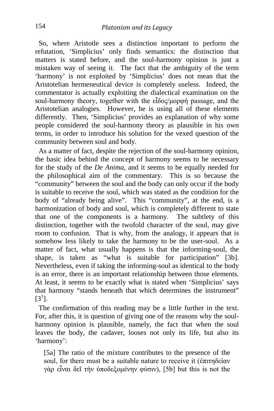So, where Aristotle sees a distinction important to perform the refutation, 'Simplicius' only finds semantics: the distinction that matters is stated before, and the soul-harmony opinion is just a mistaken way of seeing it. The fact that the ambiguity of the term 'harmony' is not exploited by 'Simplicius' does not mean that the Aristotelian hermeneutical device is completely useless. Indeed, the commentator is actually exploiting the dialectical examination on the soul-harmony theory, together with the εἶδος/μορφή passage, and the Aristotelian analogies. However, he is using all of these elements differently. Then, 'Simplicius' provides an explanation of why some people considered the soul-harmony theory as plausible in his own terms, in order to introduce his solution for the vexed question of the community between soul and body.

 As a matter of fact, despite the rejection of the soul-harmony opinion, the basic idea behind the concept of harmony seems to be necessary for the study of the *De Anima*, and it seems to be equally needed for the philosophical aim of the commentary. This is so because the "community" between the soul and the body can only occur if the body is suitable to receive the soul, which was stated as the condition for the body of "already being alive". This "community", at the end, is a harmonization of body and soul, which is completely different to state that one of the components is a harmony. The subtlety of this distinction, together with the twofold character of the soul, may give room to confusion. That is why, from the analogy, it appears that is somehow less likely to take the harmony to be the user-soul. As a matter of fact, what usually happens is that the informing-soul, the shape, is taken as "what is suitable for participation" [3b]. Nevertheless, even if taking the informing-soul as identical to the body is an error, there is an important relationship between those elements. At least, it seems to be exactly what is stated when 'Simplicius' says that harmony "stands beneath that which determines the instrument"  $[3^1]$ .

 The confirmation of this reading may be a little further in the text. For, after this, it is question of giving one of the reasons why the soulharmony opinion is plausible, namely, the fact that when the soul leaves the body, the cadaver, looses not only its life, but also its 'harmony':

[5a] The ratio of the mixture contributes to the presence of the soul, for there must be a suitable nature to receive it (ἐπιτηδείαν γὰρ εἶναι δεῖ τὴν ὑποδεξομένην φύσιν), [5b] but this is not the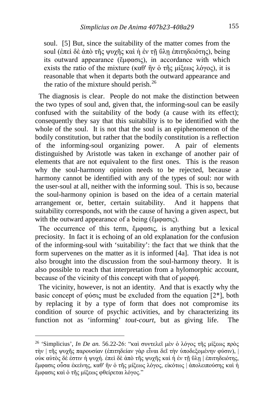soul. [5] But, since the suitability of the matter comes from the soul (ἐπεὶ δὲ ἀπὸ τῆς ψυγῆς καὶ ἡ ἐν τῆ ὕλη ἐπιτηδειότης), being its outward appearance (ἔμφασις), in accordance with which exists the ratio of the mixture (καθ' ἣν ὁ τῆς μίξεως λόγος), it is reasonable that when it departs both the outward appearance and the ratio of the mixture should perish. $^{26}$  $^{26}$  $^{26}$ 

 The diagnosis is clear. People do not make the distinction between the two types of soul and, given that, the informing-soul can be easily confused with the suitability of the body (a cause with its effect); consequently they say that this suitability is to be identified with the whole of the soul. It is not that the soul is an epiphenomenon of the bodily constitution, but rather that the bodily constitution is a reflection of the informing-soul organizing power. A pair of elements distinguished by Aristotle was taken in exchange of another pair of elements that are not equivalent to the first ones. This is the reason why the soul-harmony opinion needs to be rejected, because a harmony cannot be identified with any of the types of soul: nor with the user-soul at all, neither with the informing soul. This is so, because the soul-harmony opinion is based on the idea of a certain material arrangement or, better, certain suitability. And it happens that suitability corresponds, not with the cause of having a given aspect, but with the outward appearance of a being (ἔμφασις).

 The occurrence of this term, ἔμφασις, is anything but a lexical preciosity. In fact it is echoing of an old explanation for the confusion of the informing-soul with 'suitability': the fact that we think that the form supervenes on the matter as it is informed [4a]. That idea is not also brought into the discussion from the soul-harmony theory. It is also possible to reach that interpretation from a hylomorphic account, because of the vicinity of this concept with that of μορφή.

 The vicinity, however, is not an identity. And that is exactly why the basic concept of φύσις must be excluded from the equation  $[2^*]$ , both by replacing it by a type of form that does not compromise its condition of source of psychic activities, and by characterizing its function not as 'informing' *tout-court*, but as giving life. The

<span id="page-15-0"></span><sup>26</sup> 'Simplicius', *In De an.* 56.22-26: "καὶ συντελεῖ μὲν ὁ λόγος τῆς μίξεως πρὸς τὴν | τῆς ψυχῆς παρουσίαν (ἐπιτηδείαν γὰρ εἶναι δεῖ τὴν ὑποδεξομένην φύσιν), | οὐκ αὐτὸς δέ ἐστιν ἡ ψυχή. ἐπεὶ δὲ ἀπὸ τῆς ψυχῆς καὶ ἡ ἐν τῇ ὕλῃ | ἐπιτηδειότης, ἔμφασις οὖσα ἐκείνης, καθ' ἣν ὁ τῆς μίξεως λόγος, εἰκότως | ἀπολειπούσης καὶ ἡ ἔμφασις καὶ ὁ τῆς μίξεως φθείρεται λόγος."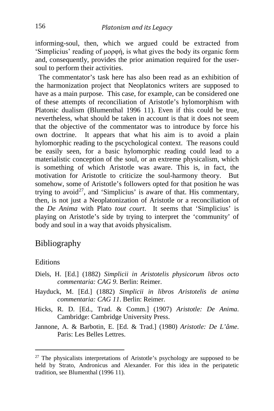informing-soul, then, which we argued could be extracted from 'Simplicius' reading of μορφή, is what gives the body its organic form and, consequently, provides the prior animation required for the usersoul to perform their activities.

 The commentator's task here has also been read as an exhibition of the harmonization project that Neoplatonics writers are supposed to have as a main purpose. This case, for example, can be considered one of these attempts of reconciliation of Aristotle's hylomorphism with Platonic dualism (Blumenthal 1996 11). Even if this could be true, nevertheless, what should be taken in account is that it does not seem that the objective of the commentator was to introduce by force his own doctrine. It appears that what his aim is to avoid a plain hylomorphic reading to the pscychological context. The reasons could be easily seen, for a basic hylomorphic reading could lead to a materialistic conception of the soul, or an extreme physicalism, which is something of which Aristotle was aware. This is, in fact, the motivation for Aristotle to criticize the soul-harmony theory. But somehow, some of Aristotle's followers opted for that position he was trying to avoid<sup>[27](#page-16-0)</sup>, and 'Simplicius' is aware of that. His commentary, then, is not just a Neoplatonization of Aristotle or a reconciliation of the *De Anima* with Plato *tout court*. It seems that 'Simplicius' is playing on Aristotle's side by trying to interpret the 'community' of body and soul in a way that avoids physicalism.

#### Bibliography

#### **Editions**

i,

- Diels, H. [Ed.] (1882) *Simplicii in Aristotelis physicorum libros octo commentaria: CAG 9*. Berlin: Reimer.
- Hayduck, M. [Ed.] (1882) *Simplicii in libros Aristotelis de anima commentaria: CAG 11*. Berlin: Reimer.
- Hicks, R. D. [Ed., Trad. & Comm.] (1907) *Aristotle: De Anima*. Cambridge: Cambridge University Press.
- Jannone, A. & Barbotin, E. [Ed. & Trad.] (1980) *Aristotle: De L'âme*. Paris: Les Belles Lettres.

<span id="page-16-0"></span> $27$  The physicalists interpretations of Aristotle's psychology are supposed to be held by Strato, Andronicus and Alexander. For this idea in the peripatetic tradition, see Blumenthal (1996 11).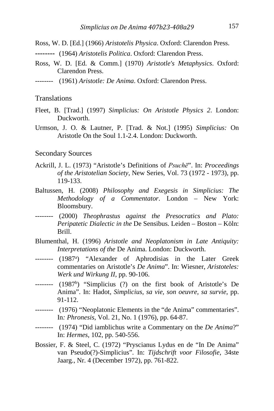- Ross, W. D. [Ed.] (1966) *Aristotelis Physica*. Oxford: Clarendon Press.
- **--------** (1964) *Aristotelis Politica*. Oxford: Clarendon Press.
- Ross, W. D. [Ed. & Comm.] (1970) *Aristotle's Metaphysics*. Oxford: Clarendon Press.
- -------- (1961) *Aristotle: De Anima*. Oxford: Clarendon Press.

#### **Translations**

- Fleet, B. [Trad.] (1997) *Simplicius: On Aristotle Physics 2*. London: **Duckworth**
- Urmson, J. O. & Lautner, P. [Trad. & Not.] (1995) *Simplicius:* On Aristotle On the Soul 1.1-2.4. London: Duckworth.

#### Secondary Sources

- Ackrill, J. L. (1973) "Aristotle's Definitions of *Psuchē*". In: *Proceedings of the Aristotelian Society*, New Series, Vol. 73 (1972 - 1973), pp. 119-133.
- Baltussen, H. (2008) *Philosophy and Exegesis in Simplicius: The Methodology of a Commentator*. London – New York: Bloomsbury.
- -------- (2000) *Theophrastus against the Presocratics and Plato: Peripatetic Dialectic in the* De Sensibus. Leiden – Boston – Köln: Brill.
- Blumenthal, H. (1996) *Aristotle and Neoplatonism in Late Antiquity: Interpretations of the* De Anima. London: Duckworth.
- -------- (1987<sup>a</sup>) "Alexander of Aphrodisias in the Later Greek commentaries on Aristotle's *De Anima*". In: Wiesner, *Aristoteles: Werk und Wirkung II*, pp. 90-106.
- -------- (1987<sup>b</sup>) "Simplicius (?) on the first book of Aristotle's De Anima". In: Hadot, *Simplicius, sa vie, son oeuvre, sa survie*, pp. 91-112.
- -------- (1976) "Neoplatonic Elements in the "de Anima" commentaries". In*: Phronesis*, Vol. 21, No. 1 (1976), pp. 64-87.
- -------- (1974) "Did iamblichus write a Commentary on the *De Anima*?" In: *Hermes*, 102, pp. 540-556.
- Bossier, F. & Steel, C. (1972) "Pryscianus Lydus en de "In De Anima" van Pseudo(?)-Simplicius". In: *Tijdschrift voor Filosofie*, 34ste Jaarg., Nr. 4 (December 1972), pp. 761-822.